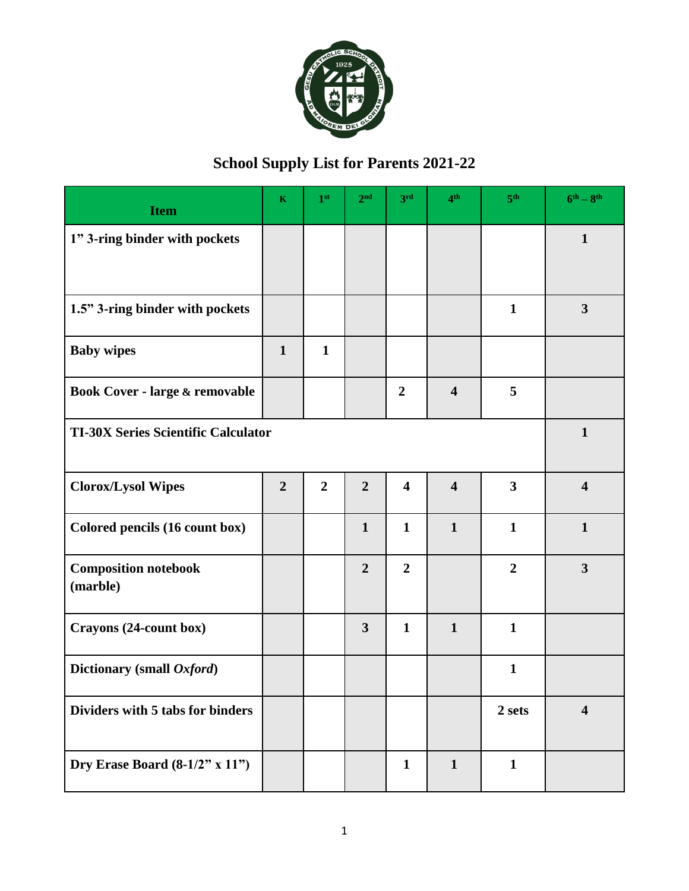

## **School Supply List for Parents 2021-22**

| <b>Item</b>                                | $\mathbf K$    | 1 <sup>st</sup> | 2 <sup>nd</sup> | 3 <sup>rd</sup>         | 4 <sup>th</sup>         | 5 <sup>th</sup> | $6^{th} - 8^{th}$       |  |
|--------------------------------------------|----------------|-----------------|-----------------|-------------------------|-------------------------|-----------------|-------------------------|--|
| 1" 3-ring binder with pockets              |                |                 |                 |                         |                         |                 | $\mathbf{1}$            |  |
|                                            |                |                 |                 |                         |                         |                 |                         |  |
| 1.5" 3-ring binder with pockets            |                |                 |                 |                         |                         | $\mathbf{1}$    | $\mathbf{3}$            |  |
| <b>Baby wipes</b>                          | $\mathbf{1}$   | $\mathbf{1}$    |                 |                         |                         |                 |                         |  |
| Book Cover - large & removable             |                |                 |                 | $\overline{2}$          | $\overline{\mathbf{4}}$ | 5               |                         |  |
| <b>TI-30X Series Scientific Calculator</b> |                |                 |                 |                         |                         |                 |                         |  |
| <b>Clorox/Lysol Wipes</b>                  | $\overline{2}$ | $\overline{2}$  | $\overline{2}$  | $\overline{\mathbf{4}}$ | $\overline{\mathbf{4}}$ | 3               | $\overline{\mathbf{4}}$ |  |
| Colored pencils (16 count box)             |                |                 | $\mathbf{1}$    | $\mathbf{1}$            | $\mathbf{1}$            | $\mathbf{1}$    | $\mathbf{1}$            |  |
| <b>Composition notebook</b><br>(marble)    |                |                 | $\overline{2}$  | $\overline{2}$          |                         | $\overline{2}$  | $\overline{\mathbf{3}}$ |  |
| Crayons (24-count box)                     |                |                 | 3               | $\mathbf{1}$            | $\mathbf{1}$            | $\mathbf{1}$    |                         |  |
| Dictionary (small Oxford)                  |                |                 |                 |                         |                         | $\mathbf{1}$    |                         |  |
| Dividers with 5 tabs for binders           |                |                 |                 |                         |                         | 2 sets          | $\overline{\mathbf{4}}$ |  |
| Dry Erase Board $(8-1/2"$ x 11")           |                |                 |                 | $\mathbf{1}$            | $\mathbf{1}$            | $\mathbf{1}$    |                         |  |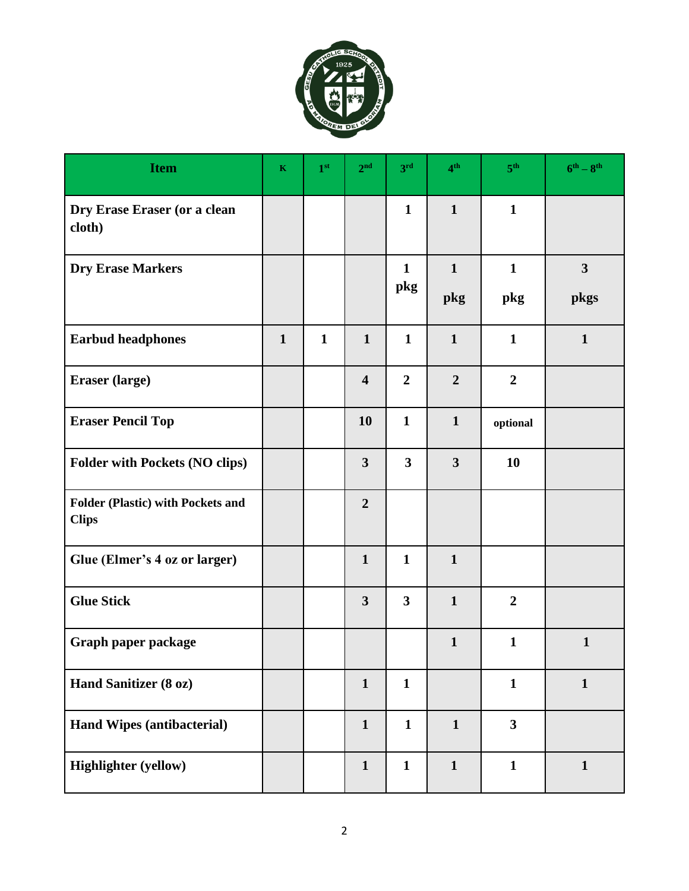

| <b>Item</b>                                              | $\mathbf K$  | 1 <sup>st</sup> | 2 <sup>nd</sup>         | 3 <sup>rd</sup> | 4 <sup>th</sup> | 5 <sup>th</sup>         | $6^{\text{th}} - 8^{\text{th}}$ |
|----------------------------------------------------------|--------------|-----------------|-------------------------|-----------------|-----------------|-------------------------|---------------------------------|
| Dry Erase Eraser (or a clean<br>cloth)                   |              |                 |                         | $\mathbf{1}$    | $\mathbf{1}$    | $\mathbf{1}$            |                                 |
| <b>Dry Erase Markers</b>                                 |              |                 |                         | $\mathbf{1}$    | $\mathbf{1}$    | $\mathbf{1}$            | $\overline{\mathbf{3}}$         |
|                                                          |              |                 |                         | pkg             | pkg             | pkg                     | pkgs                            |
| <b>Earbud headphones</b>                                 | $\mathbf{1}$ | $\mathbf{1}$    | $\mathbf{1}$            | $\mathbf{1}$    | $\mathbf{1}$    | $\mathbf{1}$            | $\mathbf{1}$                    |
| Eraser (large)                                           |              |                 | $\overline{\mathbf{4}}$ | $\overline{2}$  | $\overline{2}$  | $\boldsymbol{2}$        |                                 |
| <b>Eraser Pencil Top</b>                                 |              |                 | 10                      | $\mathbf{1}$    | $\mathbf{1}$    | optional                |                                 |
| <b>Folder with Pockets (NO clips)</b>                    |              |                 | $\mathbf{3}$            | $\mathbf{3}$    | 3               | 10                      |                                 |
| <b>Folder (Plastic) with Pockets and</b><br><b>Clips</b> |              |                 | $\overline{2}$          |                 |                 |                         |                                 |
| Glue (Elmer's 4 oz or larger)                            |              |                 | $\mathbf{1}$            | $\mathbf{1}$    | $\mathbf{1}$    |                         |                                 |
| <b>Glue Stick</b>                                        |              |                 | $\mathbf{3}$            | $\mathbf{3}$    | $\mathbf{1}$    | $\overline{2}$          |                                 |
| Graph paper package                                      |              |                 |                         |                 | $\mathbf{1}$    | $\mathbf{1}$            | $\mathbf{1}$                    |
| Hand Sanitizer (8 oz)                                    |              |                 | $\mathbf{1}$            | $\mathbf{1}$    |                 | $\mathbf{1}$            | $\mathbf{1}$                    |
| <b>Hand Wipes (antibacterial)</b>                        |              |                 | $\mathbf{1}$            | $\mathbf{1}$    | $\mathbf{1}$    | $\overline{\mathbf{3}}$ |                                 |
| <b>Highlighter (yellow)</b>                              |              |                 | $\mathbf{1}$            | $\mathbf{1}$    | $\mathbf{1}$    | $\mathbf{1}$            | $\mathbf{1}$                    |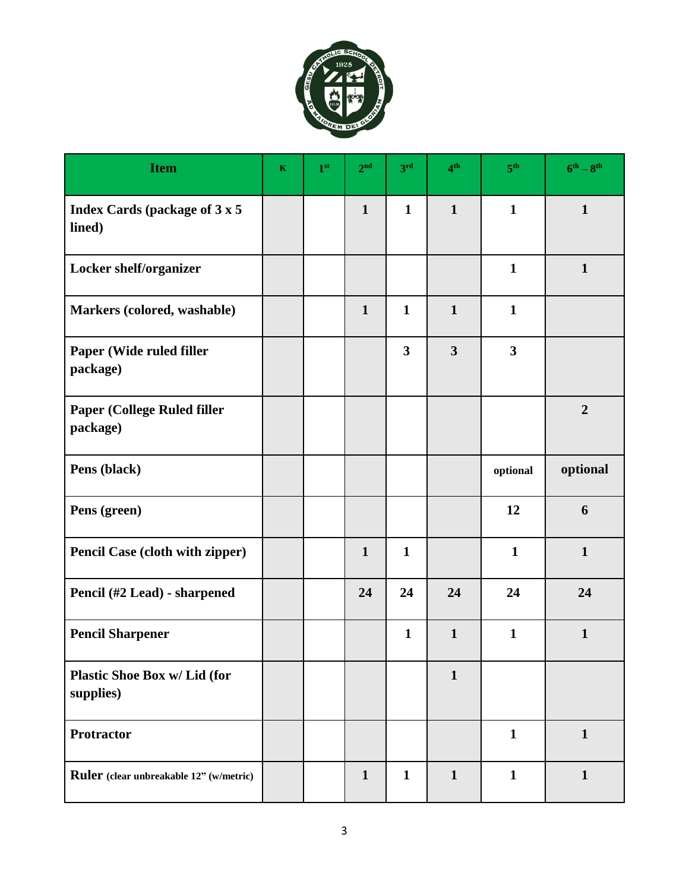

| <b>Item</b>                                     | $\mathbf K$ | 1 <sup>st</sup> | 2 <sup>nd</sup> | 3rd                     | 4 <sup>th</sup>         | 5 <sup>th</sup>         | $6^{th} - 8^{th}$ |
|-------------------------------------------------|-------------|-----------------|-----------------|-------------------------|-------------------------|-------------------------|-------------------|
| <b>Index Cards (package of 3 x 5)</b><br>lined) |             |                 | $\mathbf{1}$    | $\mathbf{1}$            | $\mathbf{1}$            | $\mathbf{1}$            | $\mathbf{1}$      |
| Locker shelf/organizer                          |             |                 |                 |                         |                         | $\mathbf{1}$            | $\mathbf{1}$      |
| Markers (colored, washable)                     |             |                 | $\mathbf{1}$    | $\mathbf{1}$            | $\mathbf{1}$            | $\mathbf{1}$            |                   |
| Paper (Wide ruled filler<br>package)            |             |                 |                 | $\overline{\mathbf{3}}$ | $\overline{\mathbf{3}}$ | $\overline{\mathbf{3}}$ |                   |
| <b>Paper (College Ruled filler</b><br>package)  |             |                 |                 |                         |                         |                         | $\overline{2}$    |
| Pens (black)                                    |             |                 |                 |                         |                         | optional                | optional          |
| Pens (green)                                    |             |                 |                 |                         |                         | 12                      | 6                 |
| <b>Pencil Case (cloth with zipper)</b>          |             |                 | $\mathbf{1}$    | $\mathbf{1}$            |                         | $\mathbf{1}$            | $\mathbf{1}$      |
| Pencil (#2 Lead) - sharpened                    |             |                 | 24              | 24                      | 24                      | 24                      | 24                |
| <b>Pencil Sharpener</b>                         |             |                 |                 | $\mathbf{1}$            | $\mathbf{1}$            | $\mathbf{1}$            | $\mathbf{1}$      |
| Plastic Shoe Box w/ Lid (for<br>supplies)       |             |                 |                 |                         | $\mathbf{1}$            |                         |                   |
| Protractor                                      |             |                 |                 |                         |                         | $\mathbf{1}$            | $\mathbf{1}$      |
| Ruler (clear unbreakable 12" (w/metric)         |             |                 | $\mathbf{1}$    | $\mathbf{1}$            | $\mathbf{1}$            | $\mathbf{1}$            | $\mathbf{1}$      |